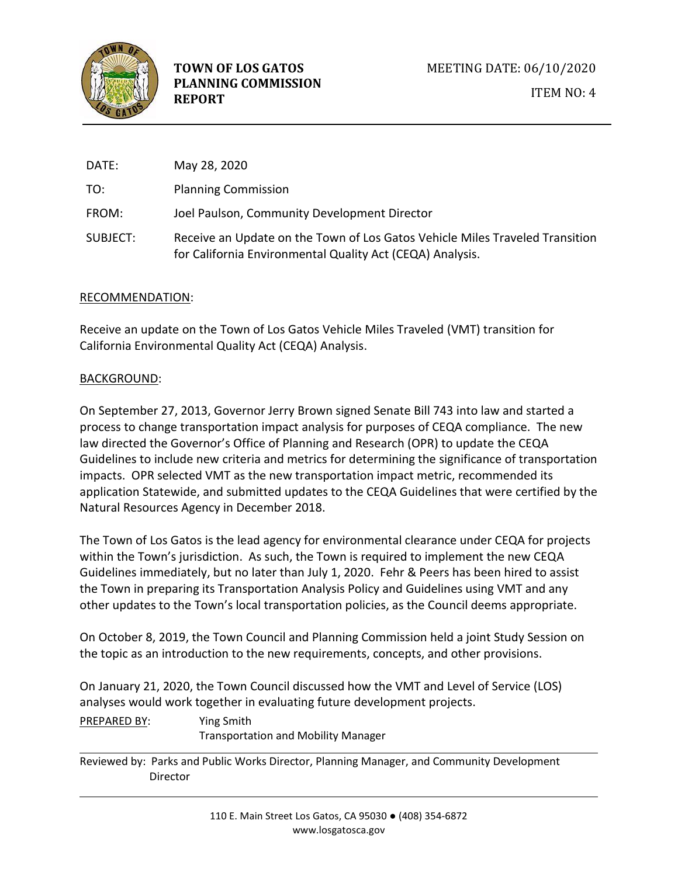

| DATE:    | May 28, 2020                                                                                                                              |
|----------|-------------------------------------------------------------------------------------------------------------------------------------------|
| TO:      | <b>Planning Commission</b>                                                                                                                |
| FROM:    | Joel Paulson, Community Development Director                                                                                              |
| SUBJECT: | Receive an Update on the Town of Los Gatos Vehicle Miles Traveled Transition<br>for California Environmental Quality Act (CEQA) Analysis. |

## RECOMMENDATION:

Receive an update on the Town of Los Gatos Vehicle Miles Traveled (VMT) transition for California Environmental Quality Act (CEQA) Analysis.

## BACKGROUND:

On September 27, 2013, Governor Jerry Brown signed Senate Bill 743 into law and started a process to change transportation impact analysis for purposes of CEQA compliance. The new law directed the Governor's Office of Planning and Research (OPR) to update the CEQA Guidelines to include new criteria and metrics for determining the significance of transportation impacts. OPR selected VMT as the new transportation impact metric, recommended its application Statewide, and submitted updates to the CEQA Guidelines that were certified by the Natural Resources Agency in December 2018.

The Town of Los Gatos is the lead agency for environmental clearance under CEQA for projects within the Town's jurisdiction. As such, the Town is required to implement the new CEQA Guidelines immediately, but no later than July 1, 2020. Fehr & Peers has been hired to assist the Town in preparing its Transportation Analysis Policy and Guidelines using VMT and any other updates to the Town's local transportation policies, as the Council deems appropriate.

On October 8, 2019, the Town Council and Planning Commission held a joint Study Session on the topic as an introduction to the new requirements, concepts, and other provisions.

On January 21, 2020, the Town Council discussed how the VMT and Level of Service (LOS) analyses would work together in evaluating future development projects.

| PREPARED BY: | Ying Smith                                 |
|--------------|--------------------------------------------|
|              | <b>Transportation and Mobility Manager</b> |

Reviewed by: Parks and Public Works Director, Planning Manager, and Community Development Director